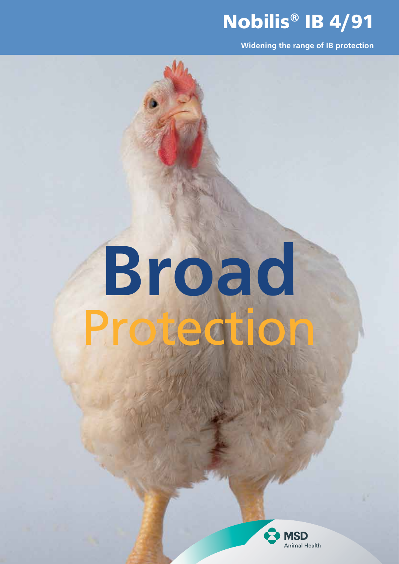# Nobilis® IB 4/91

Widening the range of IB protection

# ectio Broad

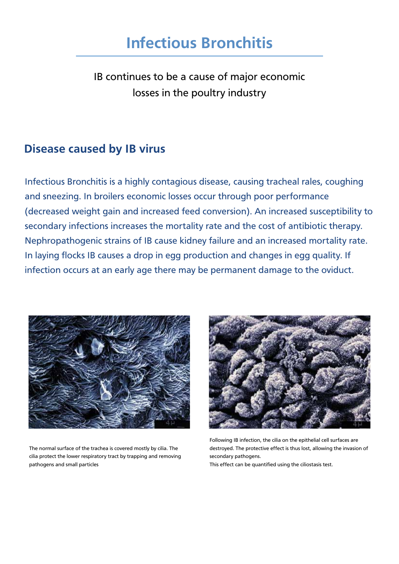IB continues to be a cause of major economic losses in the poultry industry

# Disease caused by IB virus

Infectious Bronchitis is a highly contagious disease, causing tracheal rales, coughing and sneezing. In broilers economic losses occur through poor performance (decreased weight gain and increased feed conversion). An increased susceptibility to secondary infections increases the mortality rate and the cost of antibiotic therapy. Nephropathogenic strains of IB cause kidney failure and an increased mortality rate. In laying flocks IB causes a drop in egg production and changes in egg quality. If infection occurs at an early age there may be permanent damage to the oviduct.



The normal surface of the trachea is covered mostly by cilia. The cilia protect the lower respiratory tract by trapping and removing pathogens and small particles



Following IB infection, the cilia on the epithelial cell surfaces are destroyed. The protective effect is thus lost, allowing the invasion of secondary pathogens.

This effect can be quantified using the ciliostasis test.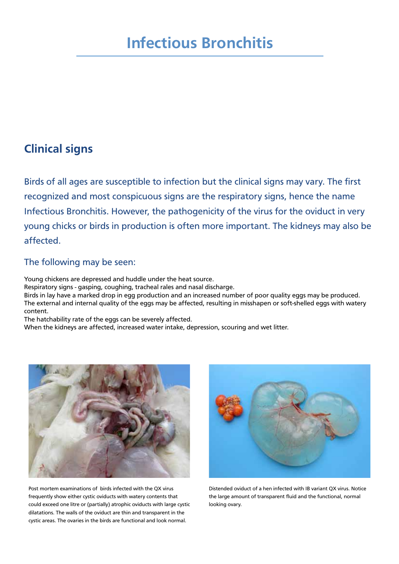# Clinical signs

Birds of all ages are susceptible to infection but the clinical signs may vary. The first recognized and most conspicuous signs are the respiratory signs, hence the name Infectious Bronchitis. However, the pathogenicity of the virus for the oviduct in very young chicks or birds in production is often more important. The kidneys may also be affected.

#### The following may be seen:

Young chickens are depressed and huddle under the heat source.

Respiratory signs - gasping, coughing, tracheal rales and nasal discharge.

Birds in lay have a marked drop in egg production and an increased number of poor quality eggs may be produced. The external and internal quality of the eggs may be affected, resulting in misshapen or soft-shelled eggs with watery content.

The hatchability rate of the eggs can be severely affected.

When the kidneys are affected, increased water intake, depression, scouring and wet litter.



Post mortem examinations of birds infected with the QX virus frequently show either cystic oviducts with watery contents that could exceed one litre or (partially) atrophic oviducts with large cystic dilatations. The walls of the oviduct are thin and transparent in the cystic areas. The ovaries in the birds are functional and look normal.



Distended oviduct of a hen infected with IB variant QX virus. Notice the large amount of transparent fluid and the functional, normal looking ovary.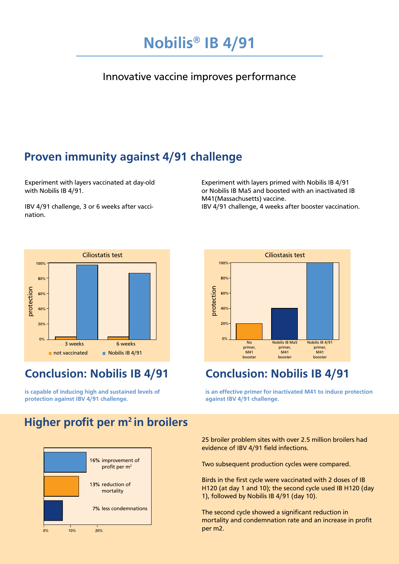

#### Innovative vaccine improves performance

# Proven immunity against 4/91 challenge

Experiment with layers vaccinated at day-old with Nobilis IB 4/91.

IBV 4/91 challenge, 3 or 6 weeks after vaccination.

Experiment with layers primed with Nobilis IB 4/91 or Nobilis IB Ma5 and boosted with an inactivated IB M41(Massachusetts) vaccine. IBV 4/91 challenge, 4 weeks after booster vaccination.



# Conclusion: Nobilis IB 4/91

is capable of inducing high and sustained levels of protection against IBV 4/91 challenge.



# Conclusion: Nobilis IB 4/91

is an effective primer for inactivated M41 to induce protection against IBV 4/91 challenge.

# Higher profit per m<sup>2</sup> in broilers



25 broiler problem sites with over 2.5 million broilers had evidence of IBV 4/91 field infections.

Two subsequent production cycles were compared.

Birds in the first cycle were vaccinated with 2 doses of IB H120 (at day 1 and 10); the second cycle used IB H120 (day 1), followed by Nobilis IB 4/91 (day 10).

The second cycle showed a significant reduction in mortality and condemnation rate and an increase in profit per m2.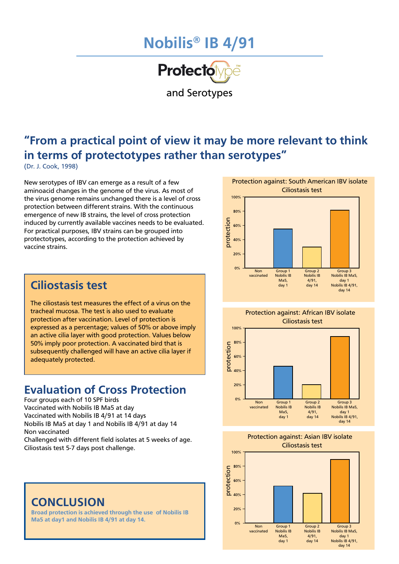# Nobilis® IB 4/91



and Serotypes

# "From a practical point of view it may be more relevant to think in terms of protectotypes rather than serotypes"

(Dr. J. Cook, 1998)

New serotypes of IBV can emerge as a result of a few aminoacid changes in the genome of the virus. As most of the virus genome remains unchanged there is a level of cross protection between different strains. With the continuous emergence of new IB strains, the level of cross protection induced by currently available vaccines needs to be evaluated. For practical purposes, IBV strains can be grouped into protectotypes, according to the protection achieved by vaccine strains.

# Ciliostasis test

The ciliostasis test measures the effect of a virus on the tracheal mucosa. The test is also used to evaluate protection after vaccination. Level of protection is expressed as a percentage; values of 50% or above imply an active cilia layer with good protection. Values below 50% imply poor protection. A vaccinated bird that is subsequently challenged will have an active cilia layer if adequately protected.

# Evaluation of Cross Protection

Four groups each of 10 SPF birds Vaccinated with Nobilis IB Ma5 at day Vaccinated with Nobilis IB 4/91 at 14 days Nobilis IB Ma5 at day 1 and Nobilis IB 4/91 at day 14 Non vaccinated

Challenged with different field isolates at 5 weeks of age. Ciliostasis test 5-7 days post challenge.

#### **CONCLUSION**

Broad protection is achieved through the use of Nobilis IB Ma5 at day1 and Nobilis IB 4/91 at day 14.







Protection against: Asian IBV isolate Ciliostasis test

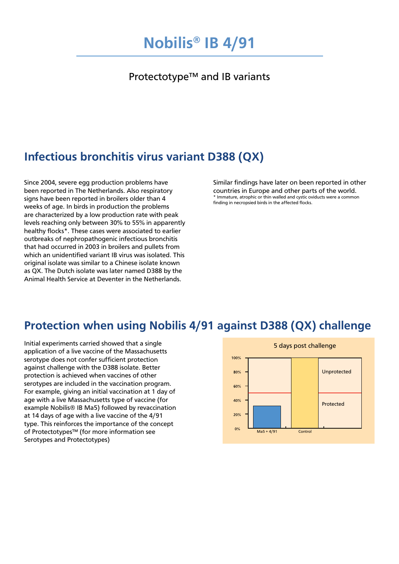#### Protectotype™ and IB variants

# Infectious bronchitis virus variant D388 (QX)

Since 2004, severe egg production problems have been reported in The Netherlands. Also respiratory signs have been reported in broilers older than 4 weeks of age. In birds in production the problems are characterized by a low production rate with peak levels reaching only between 30% to 55% in apparently healthy flocks\*. These cases were associated to earlier outbreaks of nephropathogenic infectious bronchitis that had occurred in 2003 in broilers and pullets from which an unidentified variant IB virus was isolated. This original isolate was similar to a Chinese isolate known as QX. The Dutch isolate was later named D388 by the Animal Health Service at Deventer in the Netherlands.

Similar findings have later on been reported in other countries in Europe and other parts of the world. \* Immature, atrophic or thin walled and cystic oviducts were a common finding in necropsied birds in the affected flocks.

# Protection when using Nobilis 4/91 against D388 (QX) challenge

Initial experiments carried showed that a single application of a live vaccine of the Massachusetts serotype does not confer sufficient protection against challenge with the D388 isolate. Better protection is achieved when vaccines of other serotypes are included in the vaccination program. For example, giving an initial vaccination at 1 day of age with a live Massachusetts type of vaccine (for example Nobilis® IB Ma5) followed by revaccination at 14 days of age with a live vaccine of the 4/91 type. This reinforces the importance of the concept of Protectotypes™ (for more information see Serotypes and Protectotypes)

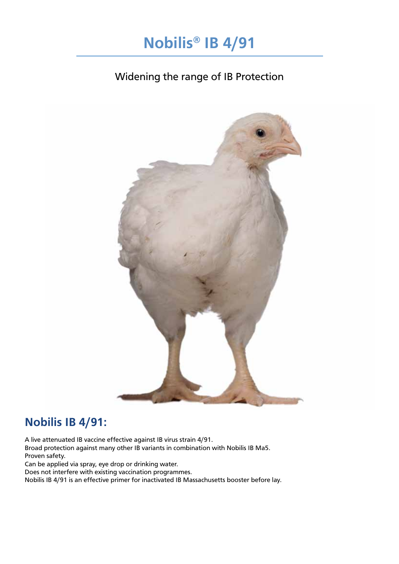

#### Widening the range of IB Protection



# Nobilis IB 4/91:

A live attenuated IB vaccine effective against IB virus strain 4/91. Broad protection against many other IB variants in combination with Nobilis IB Ma5. Proven safety. Can be applied via spray, eye drop or drinking water. Does not interfere with existing vaccination programmes.

Nobilis IB 4/91 is an effective primer for inactivated IB Massachusetts booster before lay.